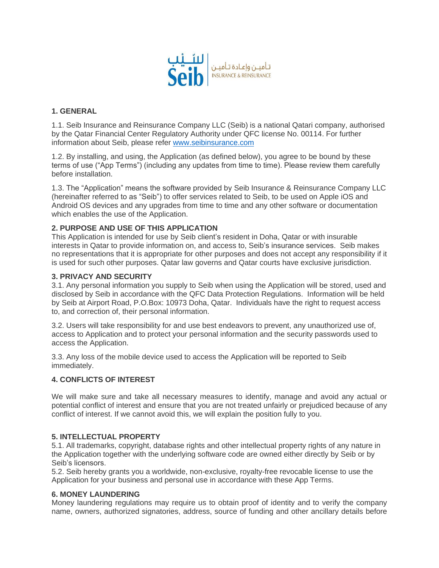

## **1. GENERAL**

1.1. Seib Insurance and Reinsurance Company LLC (Seib) is a national Qatari company, authorised by the Qatar Financial Center Regulatory Authority under QFC license No. 00114. For further information about Seib, please refer [www.seibinsurance.com](http://www.seibinsurance.com/)

1.2. By installing, and using, the Application (as defined below), you agree to be bound by these terms of use ("App Terms") (including any updates from time to time). Please review them carefully before installation.

1.3. The "Application" means the software provided by Seib Insurance & Reinsurance Company LLC (hereinafter referred to as "Seib") to offer services related to Seib, to be used on Apple iOS and Android OS devices and any upgrades from time to time and any other software or documentation which enables the use of the Application.

## **2. PURPOSE AND USE OF THIS APPLICATION**

This Application is intended for use by Seib client's resident in Doha, Qatar or with insurable interests in Qatar to provide information on, and access to, Seib's insurance services. Seib makes no representations that it is appropriate for other purposes and does not accept any responsibility if it is used for such other purposes. Qatar law governs and Qatar courts have exclusive jurisdiction.

#### **3. PRIVACY AND SECURITY**

3.1. Any personal information you supply to Seib when using the Application will be stored, used and disclosed by Seib in accordance with the QFC Data Protection Regulations. Information will be held by Seib at Airport Road, P.O.Box: 10973 Doha, Qatar. Individuals have the right to request access to, and correction of, their personal information.

3.2. Users will take responsibility for and use best endeavors to prevent, any unauthorized use of, access to Application and to protect your personal information and the security passwords used to access the Application.

3.3. Any loss of the mobile device used to access the Application will be reported to Seib immediately.

## **4. CONFLICTS OF INTEREST**

We will make sure and take all necessary measures to identify, manage and avoid any actual or potential conflict of interest and ensure that you are not treated unfairly or prejudiced because of any conflict of interest. If we cannot avoid this, we will explain the position fully to you.

#### **5. INTELLECTUAL PROPERTY**

5.1. All trademarks, copyright, database rights and other intellectual property rights of any nature in the Application together with the underlying software code are owned either directly by Seib or by Seib's licensors.

5.2. Seib hereby grants you a worldwide, non-exclusive, royalty-free revocable license to use the Application for your business and personal use in accordance with these App Terms.

#### **6. MONEY LAUNDERING**

Money laundering regulations may require us to obtain proof of identity and to verify the company name, owners, authorized signatories, address, source of funding and other ancillary details before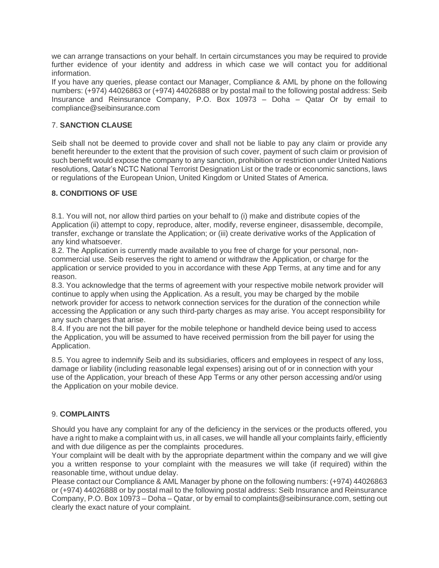we can arrange transactions on your behalf. In certain circumstances you may be required to provide further evidence of your identity and address in which case we will contact you for additional information.

If you have any queries, please contact our Manager, Compliance & AML by phone on the following numbers: (+974) 44026863 or (+974) 44026888 or by postal mail to the following postal address: Seib Insurance and Reinsurance Company, P.O. Box 10973 – Doha – Qatar Or by email to [compliance@seibinsurance.com](mailto:compliance@seibinsurance.com)

## 7. **SANCTION CLAUSE**

Seib shall not be deemed to provide cover and shall not be liable to pay any claim or provide any benefit hereunder to the extent that the provision of such cover, payment of such claim or provision of such benefit would expose the company to any sanction, prohibition or restriction under United Nations resolutions, Qatar's NCTC National Terrorist Designation List or the trade or economic sanctions, laws or regulations of the European Union, United Kingdom or United States of America.

## **8. CONDITIONS OF USE**

8.1. You will not, nor allow third parties on your behalf to (i) make and distribute copies of the Application (ii) attempt to copy, reproduce, alter, modify, reverse engineer, disassemble, decompile, transfer, exchange or translate the Application; or (iii) create derivative works of the Application of any kind whatsoever.

8.2. The Application is currently made available to you free of charge for your personal, noncommercial use. Seib reserves the right to amend or withdraw the Application, or charge for the application or service provided to you in accordance with these App Terms, at any time and for any reason.

8.3. You acknowledge that the terms of agreement with your respective mobile network provider will continue to apply when using the Application. As a result, you may be charged by the mobile network provider for access to network connection services for the duration of the connection while accessing the Application or any such third-party charges as may arise. You accept responsibility for any such charges that arise.

8.4. If you are not the bill payer for the mobile telephone or handheld device being used to access the Application, you will be assumed to have received permission from the bill payer for using the Application.

8.5. You agree to indemnify Seib and its subsidiaries, officers and employees in respect of any loss, damage or liability (including reasonable legal expenses) arising out of or in connection with your use of the Application, your breach of these App Terms or any other person accessing and/or using the Application on your mobile device.

## 9. **COMPLAINTS**

Should you have any complaint for any of the deficiency in the services or the products offered, you have a right to make a complaint with us, in all cases, we will handle all your complaints fairly, efficiently and with due diligence as per the complaints procedures.

Your complaint will be dealt with by the appropriate department within the company and we will give you a written response to your complaint with the measures we will take (if required) within the reasonable time, without undue delay.

Please contact our Compliance & AML Manager by phone on the following numbers: (+974) 44026863 or (+974) 44026888 or by postal mail to the following postal address: Seib Insurance and Reinsurance Company, P.O. Box 10973 – Doha – Qatar, or by email to [complaints@seibinsurance.com,](mailto:complaints@seibinsurance.com) setting out clearly the exact nature of your complaint.